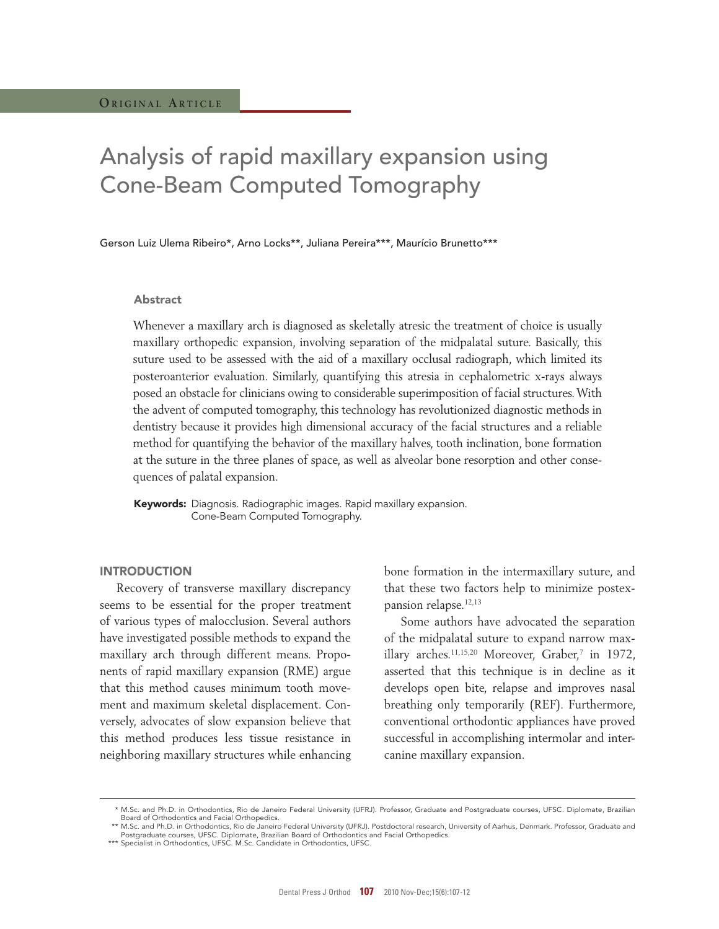# Analysis of rapid maxillary expansion using Cone-Beam Computed Tomography

Gerson Luiz Ulema Ribeiro\*, Arno Locks\*\*, Juliana Pereira\*\*\*, Maurício Brunetto\*\*\*

#### Abstract

Whenever a maxillary arch is diagnosed as skeletally atresic the treatment of choice is usually maxillary orthopedic expansion, involving separation of the midpalatal suture. Basically, this suture used to be assessed with the aid of a maxillary occlusal radiograph, which limited its posteroanterior evaluation. Similarly, quantifying this atresia in cephalometric x-rays always posed an obstacle for clinicians owing to considerable superimposition of facial structures. With the advent of computed tomography, this technology has revolutionized diagnostic methods in dentistry because it provides high dimensional accuracy of the facial structures and a reliable method for quantifying the behavior of the maxillary halves, tooth inclination, bone formation at the suture in the three planes of space, as well as alveolar bone resorption and other consequences of palatal expansion.

Keywords: Diagnosis. Radiographic images. Rapid maxillary expansion. Cone-Beam Computed Tomography.

#### **INTRODUCTION**

Recovery of transverse maxillary discrepancy seems to be essential for the proper treatment of various types of malocclusion. Several authors have investigated possible methods to expand the maxillary arch through different means. Proponents of rapid maxillary expansion (RME) argue that this method causes minimum tooth movement and maximum skeletal displacement. Conversely, advocates of slow expansion believe that this method produces less tissue resistance in neighboring maxillary structures while enhancing bone formation in the intermaxillary suture, and that these two factors help to minimize postexpansion relapse.12,13

Some authors have advocated the separation of the midpalatal suture to expand narrow maxillary arches.<sup>11,15,20</sup> Moreover, Graber,<sup>7</sup> in 1972, asserted that this technique is in decline as it develops open bite, relapse and improves nasal breathing only temporarily (REF). Furthermore, conventional orthodontic appliances have proved successful in accomplishing intermolar and intercanine maxillary expansion.

 <sup>\*</sup> M.Sc. and Ph.D. in Orthodontics, Rio de Janeiro Federal University (UFRJ). Professor, Graduate and Postgraduate courses, UFSC. Diplomate, Brazilian Board of Orthodontics and Facial Orthopedics.

<sup>\*\*</sup> M.Sc. and Ph.D. in Orthodontics, Rio de Janeiro Federal University (UFRJ). Postdoctoral research, University of Aarhus, Denmark. Professor, Graduate and Postgraduate courses, UFSC. Diplomate, Brazilian Board of Orthodontics and Facial Orthopedics.

<sup>\*\*\*</sup> Specialist in Orthodontics, UFSC. M.Sc. Candidate in Orthodontics, UFSC.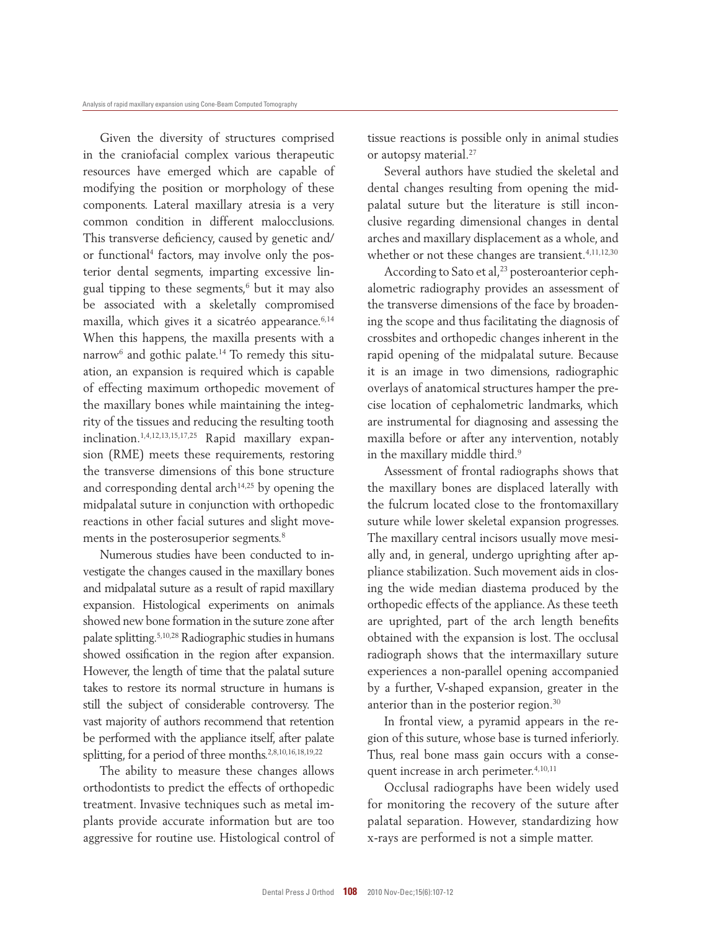Given the diversity of structures comprised in the craniofacial complex various therapeutic resources have emerged which are capable of modifying the position or morphology of these components. Lateral maxillary atresia is a very common condition in different malocclusions. This transverse deficiency, caused by genetic and/ or functional<sup>4</sup> factors, may involve only the posterior dental segments, imparting excessive lingual tipping to these segments, $6$  but it may also be associated with a skeletally compromised maxilla, which gives it a sicatréo appearance.<sup>6,14</sup> When this happens, the maxilla presents with a narrow<sup>6</sup> and gothic palate.14 To remedy this situation, an expansion is required which is capable of effecting maximum orthopedic movement of the maxillary bones while maintaining the integrity of the tissues and reducing the resulting tooth inclination.1,4,12,13,15,17,25 Rapid maxillary expansion (RME) meets these requirements, restoring the transverse dimensions of this bone structure and corresponding dental arch $14,25$  by opening the midpalatal suture in conjunction with orthopedic reactions in other facial sutures and slight movements in the posterosuperior segments.<sup>8</sup>

Numerous studies have been conducted to investigate the changes caused in the maxillary bones and midpalatal suture as a result of rapid maxillary expansion. Histological experiments on animals showed new bone formation in the suture zone after palate splitting.5,10,28 Radiographic studies in humans showed ossification in the region after expansion. However, the length of time that the palatal suture takes to restore its normal structure in humans is still the subject of considerable controversy. The vast majority of authors recommend that retention be performed with the appliance itself, after palate splitting, for a period of three months.2,8,10,16,18,19,22

The ability to measure these changes allows orthodontists to predict the effects of orthopedic treatment. Invasive techniques such as metal implants provide accurate information but are too aggressive for routine use. Histological control of tissue reactions is possible only in animal studies or autopsy material.<sup>27</sup>

Several authors have studied the skeletal and dental changes resulting from opening the midpalatal suture but the literature is still inconclusive regarding dimensional changes in dental arches and maxillary displacement as a whole, and whether or not these changes are transient.<sup>4,11,12,30</sup>

According to Sato et al,<sup>23</sup> posteroanterior cephalometric radiography provides an assessment of the transverse dimensions of the face by broadening the scope and thus facilitating the diagnosis of crossbites and orthopedic changes inherent in the rapid opening of the midpalatal suture. Because it is an image in two dimensions, radiographic overlays of anatomical structures hamper the precise location of cephalometric landmarks, which are instrumental for diagnosing and assessing the maxilla before or after any intervention, notably in the maxillary middle third.<sup>9</sup>

Assessment of frontal radiographs shows that the maxillary bones are displaced laterally with the fulcrum located close to the frontomaxillary suture while lower skeletal expansion progresses. The maxillary central incisors usually move mesially and, in general, undergo uprighting after appliance stabilization. Such movement aids in closing the wide median diastema produced by the orthopedic effects of the appliance. As these teeth are uprighted, part of the arch length benefits obtained with the expansion is lost. The occlusal radiograph shows that the intermaxillary suture experiences a non-parallel opening accompanied by a further, V-shaped expansion, greater in the anterior than in the posterior region.<sup>30</sup>

In frontal view, a pyramid appears in the region of this suture, whose base is turned inferiorly. Thus, real bone mass gain occurs with a consequent increase in arch perimeter.<sup>4,10,11</sup>

Occlusal radiographs have been widely used for monitoring the recovery of the suture after palatal separation. However, standardizing how x-rays are performed is not a simple matter.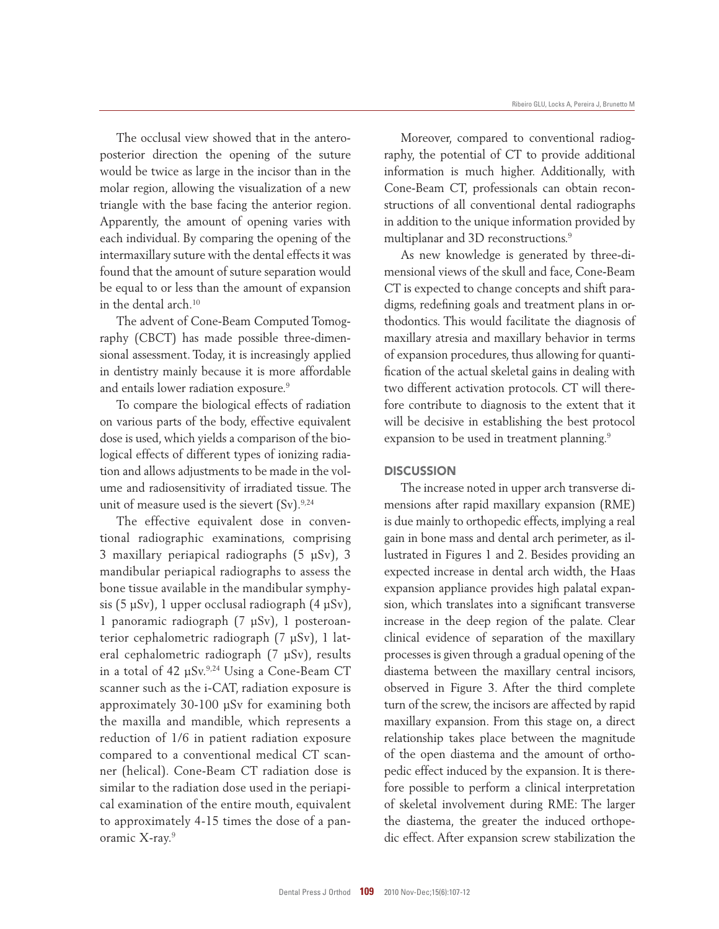The occlusal view showed that in the anteroposterior direction the opening of the suture would be twice as large in the incisor than in the molar region, allowing the visualization of a new triangle with the base facing the anterior region. Apparently, the amount of opening varies with each individual. By comparing the opening of the intermaxillary suture with the dental effects it was found that the amount of suture separation would be equal to or less than the amount of expansion in the dental arch.<sup>10</sup>

The advent of Cone-Beam Computed Tomography (CBCT) has made possible three-dimensional assessment. Today, it is increasingly applied in dentistry mainly because it is more affordable and entails lower radiation exposure.<sup>9</sup>

To compare the biological effects of radiation on various parts of the body, effective equivalent dose is used, which yields a comparison of the biological effects of different types of ionizing radiation and allows adjustments to be made in the volume and radiosensitivity of irradiated tissue. The unit of measure used is the sievert  $(Sv)$ .<sup>9,24</sup>

The effective equivalent dose in conventional radiographic examinations, comprising 3 maxillary periapical radiographs (5 µSv), 3 mandibular periapical radiographs to assess the bone tissue available in the mandibular symphysis (5 µSv), 1 upper occlusal radiograph (4 µSv), 1 panoramic radiograph (7 µSv), 1 posteroanterior cephalometric radiograph (7 µSv), 1 lateral cephalometric radiograph (7 µSv), results in a total of 42 µSv.9,24 Using a Cone-Beam CT scanner such as the i-CAT, radiation exposure is approximately 30-100 µSv for examining both the maxilla and mandible, which represents a reduction of 1/6 in patient radiation exposure compared to a conventional medical CT scanner (helical). Cone-Beam CT radiation dose is similar to the radiation dose used in the periapical examination of the entire mouth, equivalent to approximately 4-15 times the dose of a panoramic X-ray.<sup>9</sup>

Moreover, compared to conventional radiography, the potential of CT to provide additional information is much higher. Additionally, with Cone-Beam CT, professionals can obtain reconstructions of all conventional dental radiographs in addition to the unique information provided by multiplanar and 3D reconstructions.<sup>9</sup>

As new knowledge is generated by three-dimensional views of the skull and face, Cone-Beam CT is expected to change concepts and shift paradigms, redefining goals and treatment plans in orthodontics. This would facilitate the diagnosis of maxillary atresia and maxillary behavior in terms of expansion procedures, thus allowing for quantification of the actual skeletal gains in dealing with two different activation protocols. CT will therefore contribute to diagnosis to the extent that it will be decisive in establishing the best protocol expansion to be used in treatment planning.<sup>9</sup>

### **DISCUSSION**

The increase noted in upper arch transverse dimensions after rapid maxillary expansion (RME) is due mainly to orthopedic effects, implying a real gain in bone mass and dental arch perimeter, as illustrated in Figures 1 and 2. Besides providing an expected increase in dental arch width, the Haas expansion appliance provides high palatal expansion, which translates into a significant transverse increase in the deep region of the palate. Clear clinical evidence of separation of the maxillary processes is given through a gradual opening of the diastema between the maxillary central incisors, observed in Figure 3. After the third complete turn of the screw, the incisors are affected by rapid maxillary expansion. From this stage on, a direct relationship takes place between the magnitude of the open diastema and the amount of orthopedic effect induced by the expansion. It is therefore possible to perform a clinical interpretation of skeletal involvement during RME: The larger the diastema, the greater the induced orthopedic effect. After expansion screw stabilization the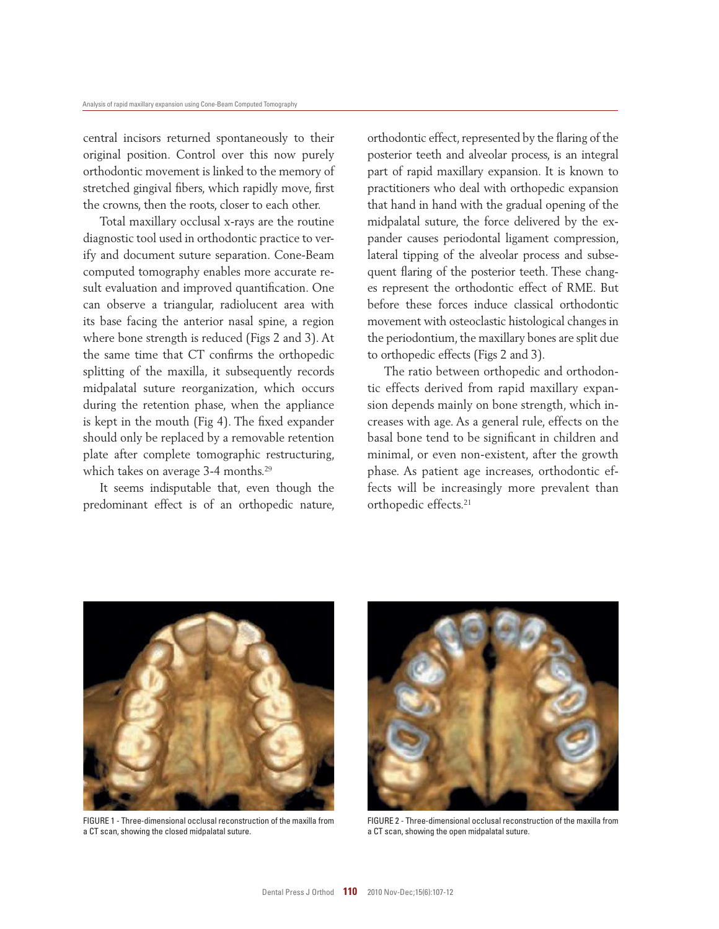central incisors returned spontaneously to their original position. Control over this now purely orthodontic movement is linked to the memory of stretched gingival fibers, which rapidly move, first the crowns, then the roots, closer to each other.

Total maxillary occlusal x-rays are the routine diagnostic tool used in orthodontic practice to verify and document suture separation. Cone-Beam computed tomography enables more accurate result evaluation and improved quantification. One can observe a triangular, radiolucent area with its base facing the anterior nasal spine, a region where bone strength is reduced (Figs 2 and 3). At the same time that CT confirms the orthopedic splitting of the maxilla, it subsequently records midpalatal suture reorganization, which occurs during the retention phase, when the appliance is kept in the mouth (Fig 4). The fixed expander should only be replaced by a removable retention plate after complete tomographic restructuring, which takes on average 3-4 months.<sup>29</sup>

It seems indisputable that, even though the predominant effect is of an orthopedic nature, orthodontic effect, represented by the flaring of the posterior teeth and alveolar process, is an integral part of rapid maxillary expansion. It is known to practitioners who deal with orthopedic expansion that hand in hand with the gradual opening of the midpalatal suture, the force delivered by the expander causes periodontal ligament compression, lateral tipping of the alveolar process and subsequent flaring of the posterior teeth. These changes represent the orthodontic effect of RME. But before these forces induce classical orthodontic movement with osteoclastic histological changes in the periodontium, the maxillary bones are split due to orthopedic effects (Figs 2 and 3).

The ratio between orthopedic and orthodontic effects derived from rapid maxillary expansion depends mainly on bone strength, which increases with age. As a general rule, effects on the basal bone tend to be significant in children and minimal, or even non-existent, after the growth phase. As patient age increases, orthodontic effects will be increasingly more prevalent than orthopedic effects.<sup>21</sup>



FIGURE 1 - Three-dimensional occlusal reconstruction of the maxilla from a CT scan, showing the closed midpalatal suture.



FIGURE 2 - Three-dimensional occlusal reconstruction of the maxilla from a CT scan, showing the open midpalatal suture.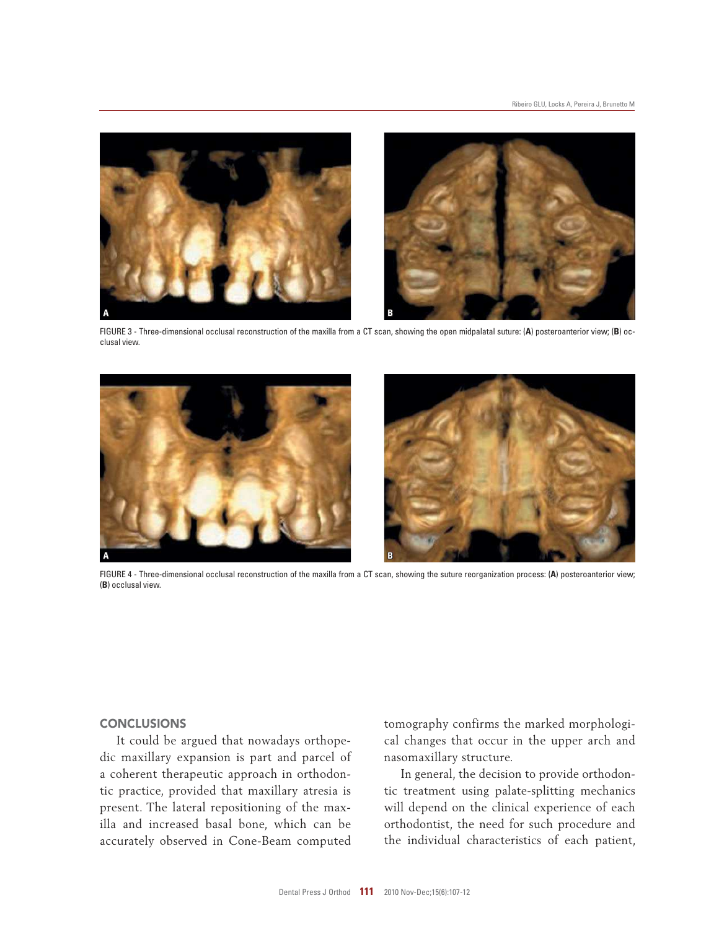

FIGURE 3 - Three-dimensional occlusal reconstruction of the maxilla from a CT scan, showing the open midpalatal suture: (**A**) posteroanterior view; (**B**) occlusal view.



FIGURE 4 - Three-dimensional occlusal reconstruction of the maxilla from a CT scan, showing the suture reorganization process: (**A**) posteroanterior view; (**B**) occlusal view.

## **CONCLUSIONS**

It could be argued that nowadays orthopedic maxillary expansion is part and parcel of a coherent therapeutic approach in orthodontic practice, provided that maxillary atresia is present. The lateral repositioning of the maxilla and increased basal bone, which can be accurately observed in Cone-Beam computed tomography confirms the marked morphological changes that occur in the upper arch and nasomaxillary structure.

In general, the decision to provide orthodontic treatment using palate-splitting mechanics will depend on the clinical experience of each orthodontist, the need for such procedure and the individual characteristics of each patient,